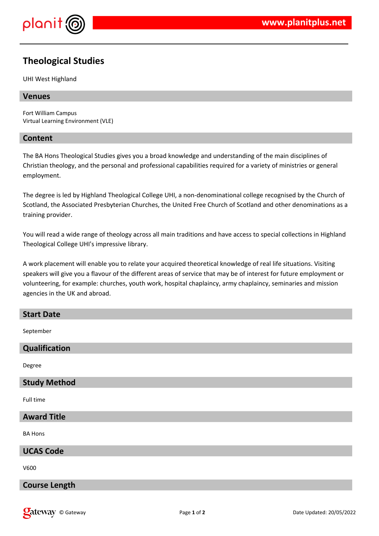

# **Theological Studies**

UHI West Highland

#### **Venues**

Fort William Campus Virtual Learning Environment (VLE)

#### **Content**

The BA Hons Theological Studies gives you a broad knowledge and understanding of the main disciplines of Christian theology, and the personal and professional capabilities required for a variety of ministries or general employment.

The degree is led by Highland Theological College UHI, a non-denominational college recognised by the Church of Scotland, the Associated Presbyterian Churches, the United Free Church of Scotland and other denominations as a training provider.

You will read a wide range of theology across all main traditions and have access to special collections in Highland Theological College UHI's impressive library.

A work placement will enable you to relate your acquired theoretical knowledge of real life situations. Visiting speakers will give you a flavour of the different areas of service that may be of interest for future employment or volunteering, for example: churches, youth work, hospital chaplaincy, army chaplaincy, seminaries and mission agencies in the UK and abroad.

# **Start Date** September **Qualification** Degree **Study Method** Full time **Award Title** BA Hons **UCAS Code** V600

#### **Course Length**